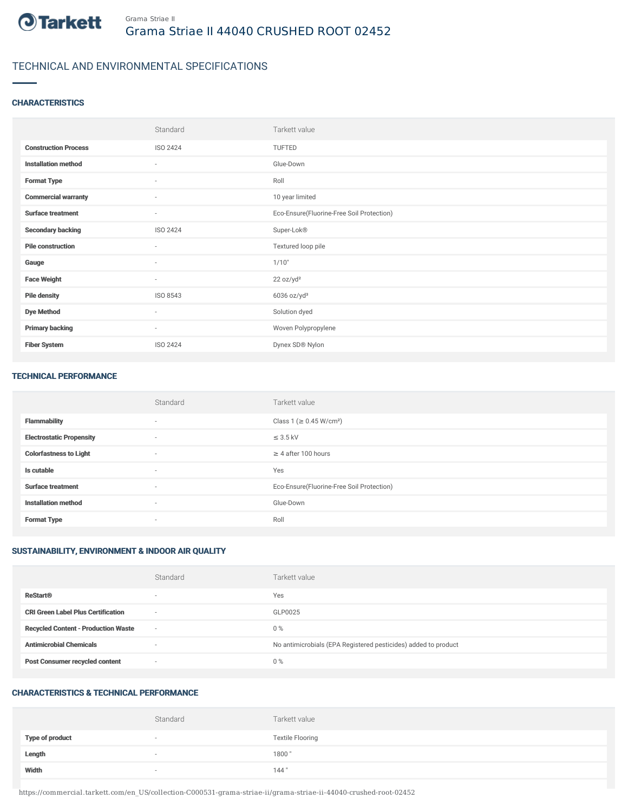

# TECHNICAL AND ENVIRONMENTAL SPECIFICATIONS

### **CHARACTERISTICS**

|                             | Standard                 | Tarkett value                             |
|-----------------------------|--------------------------|-------------------------------------------|
| <b>Construction Process</b> | ISO 2424                 | TUFTED                                    |
| <b>Installation method</b>  | $\sim$                   | Glue-Down                                 |
| <b>Format Type</b>          | ٠                        | Roll                                      |
| <b>Commercial warranty</b>  | ٠                        | 10 year limited                           |
| <b>Surface treatment</b>    | $\sim$                   | Eco-Ensure(Fluorine-Free Soil Protection) |
| <b>Secondary backing</b>    | ISO 2424                 | Super-Lok®                                |
| <b>Pile construction</b>    | $\overline{\phantom{a}}$ | Textured loop pile                        |
| Gauge                       | ٠                        | 1/10"                                     |
| <b>Face Weight</b>          | $\overline{\phantom{a}}$ | 22 oz/yd <sup>2</sup>                     |
| <b>Pile density</b>         | ISO 8543                 | $6036$ oz/yd <sup>3</sup>                 |
| <b>Dye Method</b>           | ٠                        | Solution dyed                             |
| <b>Primary backing</b>      | $\overline{\phantom{a}}$ | Woven Polypropylene                       |
| <b>Fiber System</b>         | ISO 2424                 | Dynex SD® Nylon                           |

#### TECHNICAL PERFORMANCE

|                                 | Standard                 | Tarkett value                             |
|---------------------------------|--------------------------|-------------------------------------------|
| <b>Flammability</b>             | $\overline{\phantom{a}}$ | Class 1 (≥ 0.45 W/cm <sup>2</sup> )       |
| <b>Electrostatic Propensity</b> | $\sim$                   | $\leq$ 3.5 kV                             |
| <b>Colorfastness to Light</b>   | $\sim$                   | $\geq$ 4 after 100 hours                  |
| Is cutable                      | $\overline{\phantom{a}}$ | Yes                                       |
| <b>Surface treatment</b>        | $\sim$                   | Eco-Ensure(Fluorine-Free Soil Protection) |
| <b>Installation method</b>      | $\overline{a}$           | Glue-Down                                 |
| <b>Format Type</b>              | $\overline{\phantom{a}}$ | Roll                                      |

## SUSTAINABILITY, ENVIRONMENT & INDOOR AIR QUALITY

|                                            | Standard                 | Tarkett value                                                  |
|--------------------------------------------|--------------------------|----------------------------------------------------------------|
| <b>ReStart®</b>                            | $\overline{\phantom{a}}$ | Yes                                                            |
| <b>CRI Green Label Plus Certification</b>  | $\sim$                   | GLP0025                                                        |
| <b>Recycled Content - Production Waste</b> | $\sim$                   | $0\%$                                                          |
| <b>Antimicrobial Chemicals</b>             | -                        | No antimicrobials (EPA Registered pesticides) added to product |
| <b>Post Consumer recycled content</b>      | $\sim$                   | $0\%$                                                          |

#### CHARACTERISTICS & TECHNICAL PERFORMANCE

|                        | Standard                 | Tarkett value           |
|------------------------|--------------------------|-------------------------|
| <b>Type of product</b> | $\overline{\phantom{a}}$ | <b>Textile Flooring</b> |
| Length                 | $\overline{\phantom{a}}$ | 1800"                   |
| Width                  | $\overline{\phantom{a}}$ | 144"                    |

https://commercial.tarkett.com/en\_US/collection-C000531-grama-striae-ii/grama-striae-ii-44040-crushed-root-02452